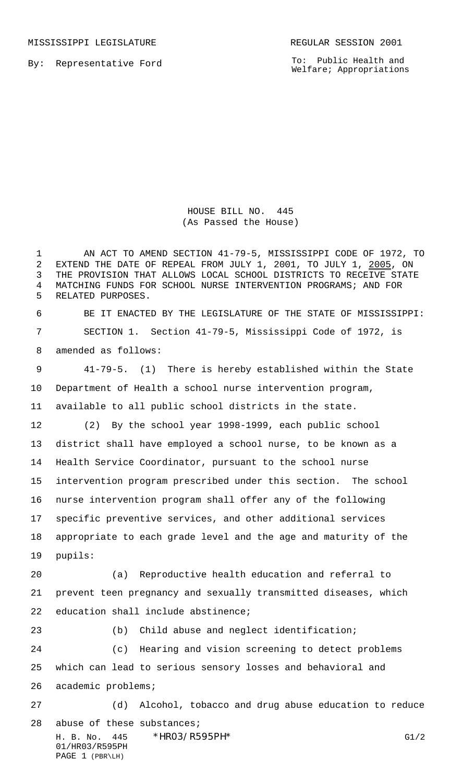MISSISSIPPI LEGISLATURE **REGULAR SESSION 2001** 

By: Representative Ford

To: Public Health and Welfare; Appropriations

HOUSE BILL NO. 445 (As Passed the House)

 AN ACT TO AMEND SECTION 41-79-5, MISSISSIPPI CODE OF 1972, TO EXTEND THE DATE OF REPEAL FROM JULY 1, 2001, TO JULY 1, 2005, ON THE PROVISION THAT ALLOWS LOCAL SCHOOL DISTRICTS TO RECEIVE STATE MATCHING FUNDS FOR SCHOOL NURSE INTERVENTION PROGRAMS; AND FOR RELATED PURPOSES. BE IT ENACTED BY THE LEGISLATURE OF THE STATE OF MISSISSIPPI:

 SECTION 1. Section 41-79-5, Mississippi Code of 1972, is amended as follows:

 41-79-5. (1) There is hereby established within the State Department of Health a school nurse intervention program, available to all public school districts in the state. (2) By the school year 1998-1999, each public school

 district shall have employed a school nurse, to be known as a Health Service Coordinator, pursuant to the school nurse intervention program prescribed under this section. The school nurse intervention program shall offer any of the following specific preventive services, and other additional services appropriate to each grade level and the age and maturity of the pupils:

 (a) Reproductive health education and referral to prevent teen pregnancy and sexually transmitted diseases, which education shall include abstinence;

 (b) Child abuse and neglect identification; (c) Hearing and vision screening to detect problems which can lead to serious sensory losses and behavioral and academic problems; (d) Alcohol, tobacco and drug abuse education to reduce

H. B. No. 445 \*HR03/R595PH\* G1/2 01/HR03/R595PH PAGE 1 (PBR\LH) abuse of these substances;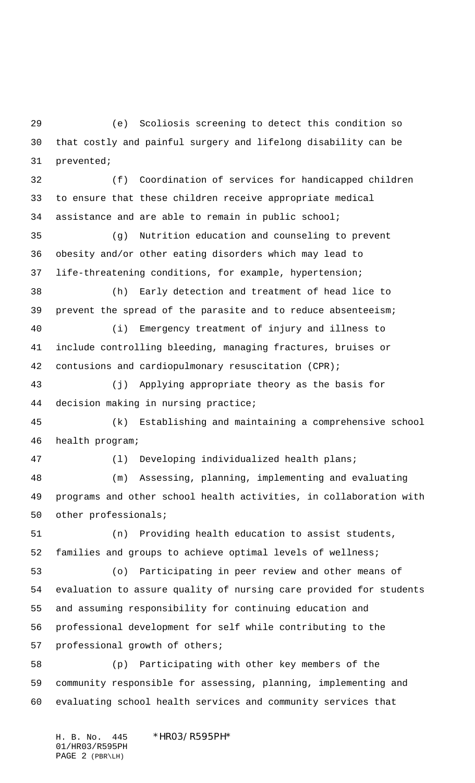(e) Scoliosis screening to detect this condition so that costly and painful surgery and lifelong disability can be prevented;

 (f) Coordination of services for handicapped children to ensure that these children receive appropriate medical assistance and are able to remain in public school;

 (g) Nutrition education and counseling to prevent obesity and/or other eating disorders which may lead to life-threatening conditions, for example, hypertension;

 (h) Early detection and treatment of head lice to prevent the spread of the parasite and to reduce absenteeism;

 (i) Emergency treatment of injury and illness to include controlling bleeding, managing fractures, bruises or contusions and cardiopulmonary resuscitation (CPR);

 (j) Applying appropriate theory as the basis for decision making in nursing practice;

 (k) Establishing and maintaining a comprehensive school health program;

(l) Developing individualized health plans;

 (m) Assessing, planning, implementing and evaluating programs and other school health activities, in collaboration with other professionals;

 (n) Providing health education to assist students, families and groups to achieve optimal levels of wellness;

 (o) Participating in peer review and other means of evaluation to assure quality of nursing care provided for students and assuming responsibility for continuing education and professional development for self while contributing to the professional growth of others;

 (p) Participating with other key members of the community responsible for assessing, planning, implementing and evaluating school health services and community services that

H. B. No. 445 \*HR03/R595PH\* 01/HR03/R595PH PAGE 2 (PBR\LH)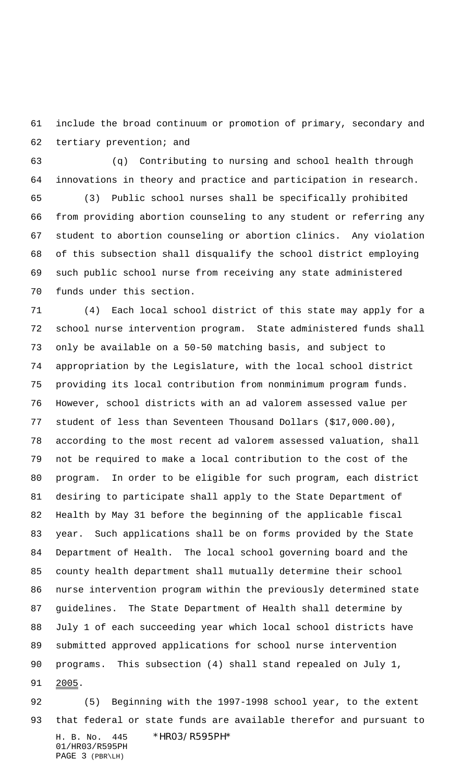include the broad continuum or promotion of primary, secondary and tertiary prevention; and

 (q) Contributing to nursing and school health through innovations in theory and practice and participation in research.

 (3) Public school nurses shall be specifically prohibited from providing abortion counseling to any student or referring any student to abortion counseling or abortion clinics. Any violation of this subsection shall disqualify the school district employing such public school nurse from receiving any state administered funds under this section.

 (4) Each local school district of this state may apply for a school nurse intervention program. State administered funds shall only be available on a 50-50 matching basis, and subject to appropriation by the Legislature, with the local school district providing its local contribution from nonminimum program funds. However, school districts with an ad valorem assessed value per student of less than Seventeen Thousand Dollars (\$17,000.00), according to the most recent ad valorem assessed valuation, shall not be required to make a local contribution to the cost of the program. In order to be eligible for such program, each district desiring to participate shall apply to the State Department of Health by May 31 before the beginning of the applicable fiscal year. Such applications shall be on forms provided by the State Department of Health. The local school governing board and the county health department shall mutually determine their school nurse intervention program within the previously determined state guidelines. The State Department of Health shall determine by July 1 of each succeeding year which local school districts have submitted approved applications for school nurse intervention programs. This subsection (4) shall stand repealed on July 1, 91 2005.

H. B. No. 445 \*HR03/R595PH\* 01/HR03/R595PH PAGE 3 (PBR\LH) (5) Beginning with the 1997-1998 school year, to the extent that federal or state funds are available therefor and pursuant to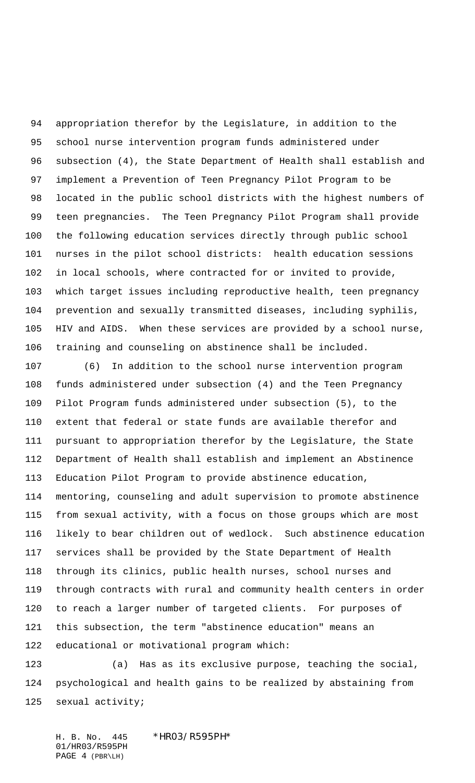appropriation therefor by the Legislature, in addition to the school nurse intervention program funds administered under subsection (4), the State Department of Health shall establish and implement a Prevention of Teen Pregnancy Pilot Program to be located in the public school districts with the highest numbers of teen pregnancies. The Teen Pregnancy Pilot Program shall provide the following education services directly through public school nurses in the pilot school districts: health education sessions in local schools, where contracted for or invited to provide, which target issues including reproductive health, teen pregnancy prevention and sexually transmitted diseases, including syphilis, HIV and AIDS. When these services are provided by a school nurse, training and counseling on abstinence shall be included.

 (6) In addition to the school nurse intervention program funds administered under subsection (4) and the Teen Pregnancy Pilot Program funds administered under subsection (5), to the extent that federal or state funds are available therefor and pursuant to appropriation therefor by the Legislature, the State Department of Health shall establish and implement an Abstinence Education Pilot Program to provide abstinence education, mentoring, counseling and adult supervision to promote abstinence from sexual activity, with a focus on those groups which are most likely to bear children out of wedlock. Such abstinence education services shall be provided by the State Department of Health through its clinics, public health nurses, school nurses and through contracts with rural and community health centers in order to reach a larger number of targeted clients. For purposes of this subsection, the term "abstinence education" means an educational or motivational program which:

 (a) Has as its exclusive purpose, teaching the social, psychological and health gains to be realized by abstaining from sexual activity;

H. B. No. 445 \*HR03/R595PH\* 01/HR03/R595PH PAGE 4 (PBR\LH)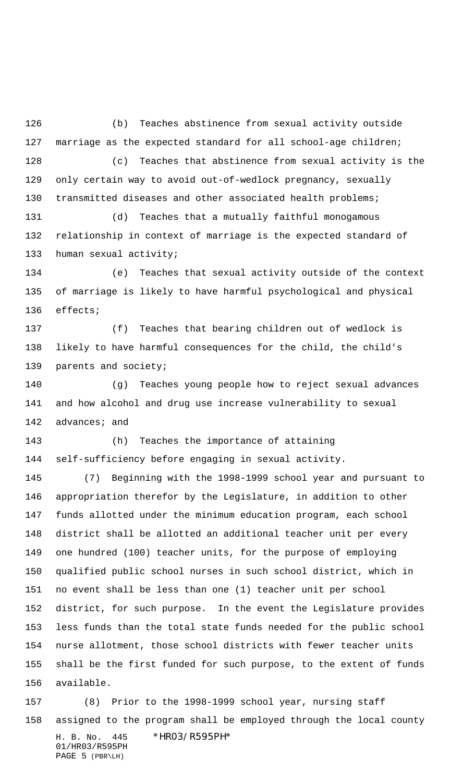(b) Teaches abstinence from sexual activity outside marriage as the expected standard for all school-age children; (c) Teaches that abstinence from sexual activity is the only certain way to avoid out-of-wedlock pregnancy, sexually transmitted diseases and other associated health problems;

 (d) Teaches that a mutually faithful monogamous relationship in context of marriage is the expected standard of human sexual activity;

 (e) Teaches that sexual activity outside of the context of marriage is likely to have harmful psychological and physical effects;

 (f) Teaches that bearing children out of wedlock is likely to have harmful consequences for the child, the child's parents and society;

 (g) Teaches young people how to reject sexual advances and how alcohol and drug use increase vulnerability to sexual 142 advances; and

 (h) Teaches the importance of attaining self-sufficiency before engaging in sexual activity.

 (7) Beginning with the 1998-1999 school year and pursuant to appropriation therefor by the Legislature, in addition to other funds allotted under the minimum education program, each school district shall be allotted an additional teacher unit per every one hundred (100) teacher units, for the purpose of employing qualified public school nurses in such school district, which in no event shall be less than one (1) teacher unit per school district, for such purpose. In the event the Legislature provides less funds than the total state funds needed for the public school nurse allotment, those school districts with fewer teacher units shall be the first funded for such purpose, to the extent of funds available.

H. B. No. 445 \*HR03/R595PH\* 01/HR03/R595PH PAGE 5 (PBR\LH) (8) Prior to the 1998-1999 school year, nursing staff assigned to the program shall be employed through the local county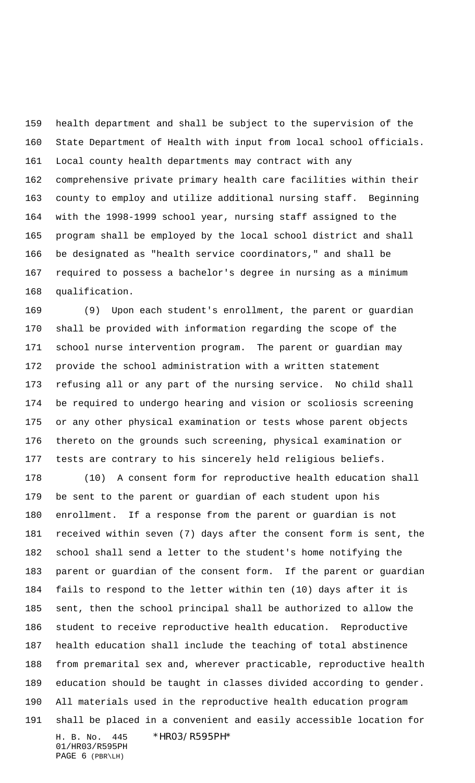health department and shall be subject to the supervision of the State Department of Health with input from local school officials. Local county health departments may contract with any comprehensive private primary health care facilities within their county to employ and utilize additional nursing staff. Beginning with the 1998-1999 school year, nursing staff assigned to the program shall be employed by the local school district and shall be designated as "health service coordinators," and shall be required to possess a bachelor's degree in nursing as a minimum qualification.

 (9) Upon each student's enrollment, the parent or guardian shall be provided with information regarding the scope of the school nurse intervention program. The parent or guardian may provide the school administration with a written statement refusing all or any part of the nursing service. No child shall be required to undergo hearing and vision or scoliosis screening or any other physical examination or tests whose parent objects thereto on the grounds such screening, physical examination or tests are contrary to his sincerely held religious beliefs.

H. B. No. 445 \*HR03/R595PH\* (10) A consent form for reproductive health education shall be sent to the parent or guardian of each student upon his enrollment. If a response from the parent or guardian is not received within seven (7) days after the consent form is sent, the school shall send a letter to the student's home notifying the parent or guardian of the consent form. If the parent or guardian fails to respond to the letter within ten (10) days after it is sent, then the school principal shall be authorized to allow the student to receive reproductive health education. Reproductive health education shall include the teaching of total abstinence from premarital sex and, wherever practicable, reproductive health education should be taught in classes divided according to gender. All materials used in the reproductive health education program shall be placed in a convenient and easily accessible location for

01/HR03/R595PH PAGE 6 (PBR\LH)